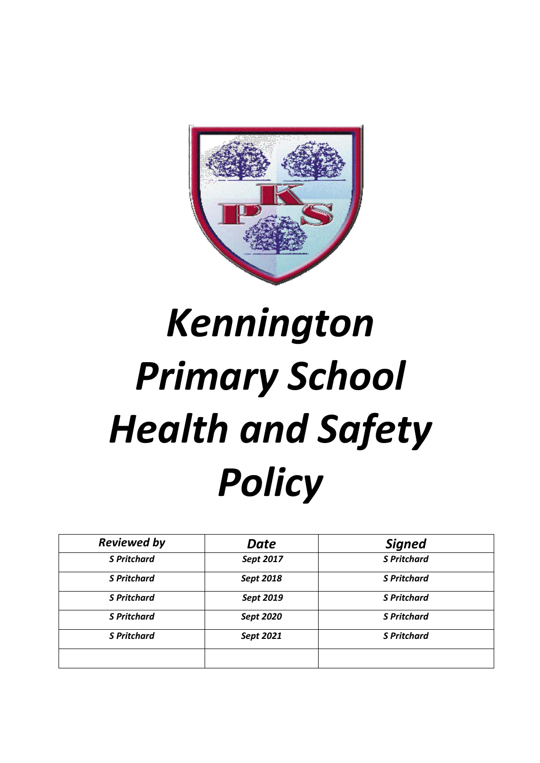

# *Kennington Primary School Health and Safety Policy*

| <b>Reviewed by</b> | Date      | <b>Signed</b>      |
|--------------------|-----------|--------------------|
| <b>S Pritchard</b> | Sept 2017 | <b>S</b> Pritchard |
| <b>S</b> Pritchard | Sept 2018 | <b>S</b> Pritchard |
| <b>S</b> Pritchard | Sept 2019 | <b>S</b> Pritchard |
| <b>S</b> Pritchard | Sept 2020 | <b>S</b> Pritchard |
| <b>S</b> Pritchard | Sept 2021 | <b>S Pritchard</b> |
|                    |           |                    |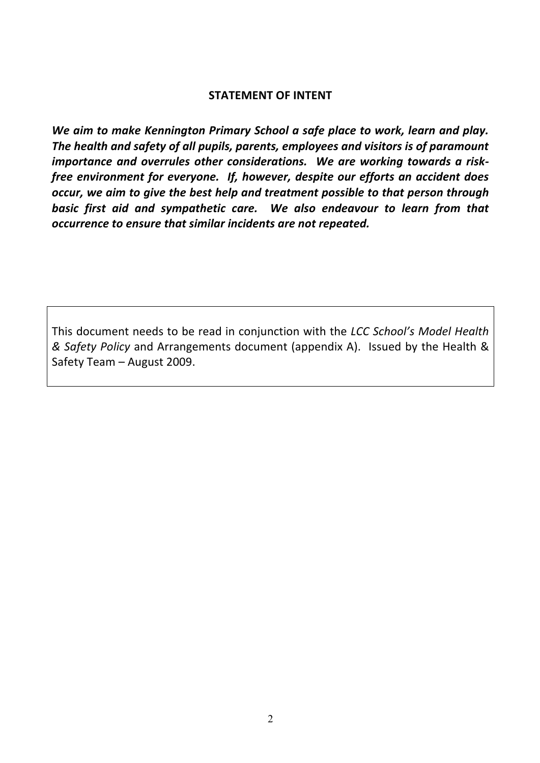## **STATEMENT OF INTENT**

*We aim to make Kennington Primary School a safe place to work, learn and play. The health and safety of all pupils, parents, employees and visitors is of paramount importance and overrules other considerations. We are working towards a riskfree environment for everyone. If, however, despite our efforts an accident does occur, we aim to give the best help and treatment possible to that person through basic first aid and sympathetic care. We also endeavour to learn from that occurrence to ensure that similar incidents are not repeated.*

This document needs to be read in conjunction with the *LCC School's Model Health & Safety Policy* and Arrangements document (appendix A). Issued by the Health & Safety Team – August 2009.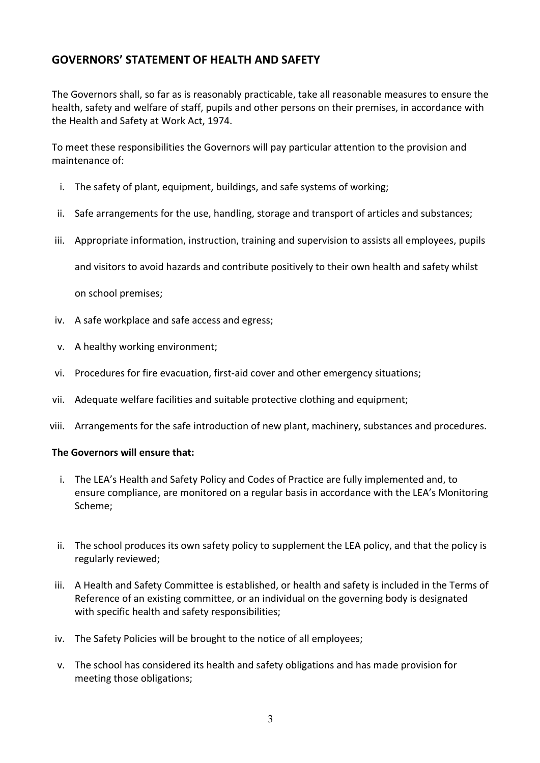## **GOVERNORS' STATEMENT OF HEALTH AND SAFETY**

The Governors shall, so far as is reasonably practicable, take all reasonable measures to ensure the health, safety and welfare of staff, pupils and other persons on their premises, in accordance with the Health and Safety at Work Act, 1974.

To meet these responsibilities the Governors will pay particular attention to the provision and maintenance of:

- i. The safety of plant, equipment, buildings, and safe systems of working;
- ii. Safe arrangements for the use, handling, storage and transport of articles and substances;
- iii. Appropriate information, instruction, training and supervision to assists all employees, pupils

and visitors to avoid hazards and contribute positively to their own health and safety whilst

on school premises;

- iv. A safe workplace and safe access and egress;
- v. A healthy working environment;
- vi. Procedures for fire evacuation, first-aid cover and other emergency situations;
- vii. Adequate welfare facilities and suitable protective clothing and equipment;
- viii. Arrangements for the safe introduction of new plant, machinery, substances and procedures.

#### **The Governors will ensure that:**

- i. The LEA's Health and Safety Policy and Codes of Practice are fully implemented and, to ensure compliance, are monitored on a regular basis in accordance with the LEA's Monitoring Scheme;
- ii. The school produces its own safety policy to supplement the LEA policy, and that the policy is regularly reviewed;
- iii. A Health and Safety Committee is established, or health and safety is included in the Terms of Reference of an existing committee, or an individual on the governing body is designated with specific health and safety responsibilities;
- iv. The Safety Policies will be brought to the notice of all employees;
- v. The school has considered its health and safety obligations and has made provision for meeting those obligations;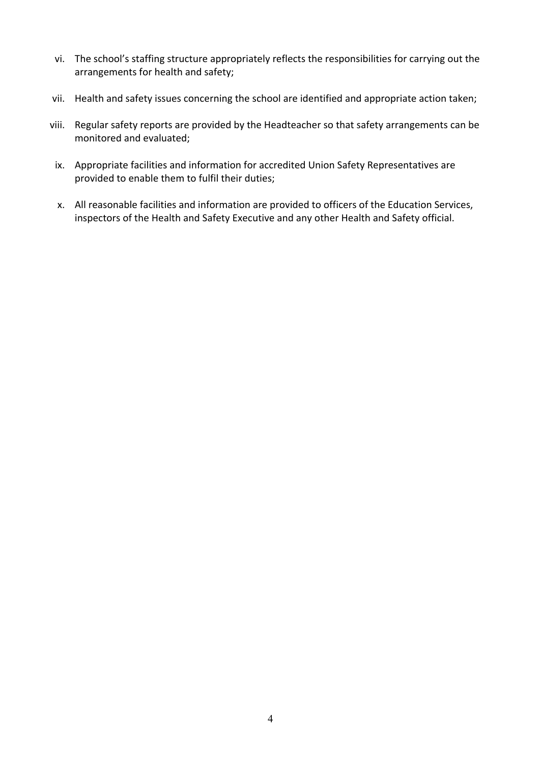- vi. The school's staffing structure appropriately reflects the responsibilities for carrying out the arrangements for health and safety;
- vii. Health and safety issues concerning the school are identified and appropriate action taken;
- viii. Regular safety reports are provided by the Headteacher so that safety arrangements can be monitored and evaluated;
- ix. Appropriate facilities and information for accredited Union Safety Representatives are provided to enable them to fulfil their duties;
- x. All reasonable facilities and information are provided to officers of the Education Services, inspectors of the Health and Safety Executive and any other Health and Safety official.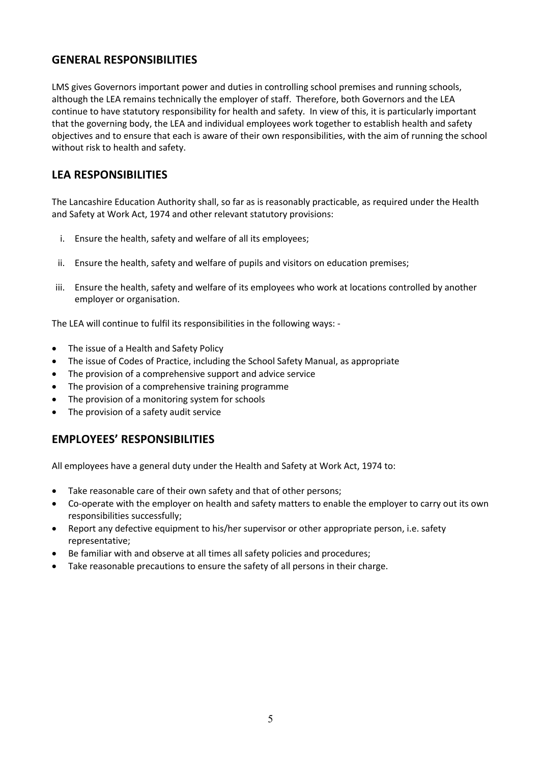## **GENERAL RESPONSIBILITIES**

LMS gives Governors important power and duties in controlling school premises and running schools, although the LEA remains technically the employer of staff. Therefore, both Governors and the LEA continue to have statutory responsibility for health and safety. In view of this, it is particularly important that the governing body, the LEA and individual employees work together to establish health and safety objectives and to ensure that each is aware of their own responsibilities, with the aim of running the school without risk to health and safety.

## **LEA RESPONSIBILITIES**

The Lancashire Education Authority shall, so far as is reasonably practicable, as required under the Health and Safety at Work Act, 1974 and other relevant statutory provisions:

- i. Ensure the health, safety and welfare of all its employees;
- ii. Ensure the health, safety and welfare of pupils and visitors on education premises;
- iii. Ensure the health, safety and welfare of its employees who work at locations controlled by another employer or organisation.

The LEA will continue to fulfil its responsibilities in the following ways: -

- The issue of a Health and Safety Policy
- The issue of Codes of Practice, including the School Safety Manual, as appropriate
- The provision of a comprehensive support and advice service
- The provision of a comprehensive training programme
- The provision of a monitoring system for schools
- The provision of a safety audit service

## **EMPLOYEES' RESPONSIBILITIES**

All employees have a general duty under the Health and Safety at Work Act, 1974 to:

- Take reasonable care of their own safety and that of other persons;
- Co-operate with the employer on health and safety matters to enable the employer to carry out its own responsibilities successfully;
- Report any defective equipment to his/her supervisor or other appropriate person, i.e. safety representative;
- Be familiar with and observe at all times all safety policies and procedures;
- Take reasonable precautions to ensure the safety of all persons in their charge.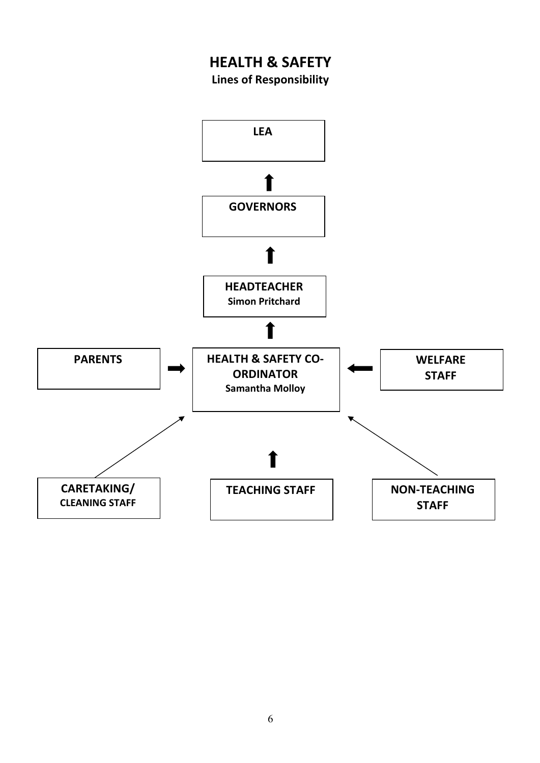## **HEALTH & SAFETY**

**Lines of Responsibility**

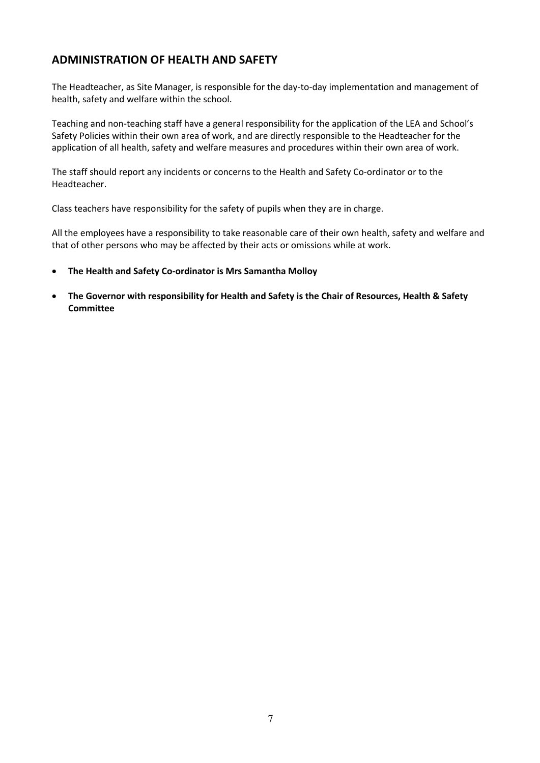## **ADMINISTRATION OF HEALTH AND SAFETY**

The Headteacher, as Site Manager, is responsible for the day-to-day implementation and management of health, safety and welfare within the school.

Teaching and non-teaching staff have a general responsibility for the application of the LEA and School's Safety Policies within their own area of work, and are directly responsible to the Headteacher for the application of all health, safety and welfare measures and procedures within their own area of work.

The staff should report any incidents or concerns to the Health and Safety Co-ordinator or to the Headteacher.

Class teachers have responsibility for the safety of pupils when they are in charge.

All the employees have a responsibility to take reasonable care of their own health, safety and welfare and that of other persons who may be affected by their acts or omissions while at work.

- **The Health and Safety Co-ordinator is Mrs Samantha Molloy**
- **The Governor with responsibility for Health and Safety is the Chair of Resources, Health & Safety Committee**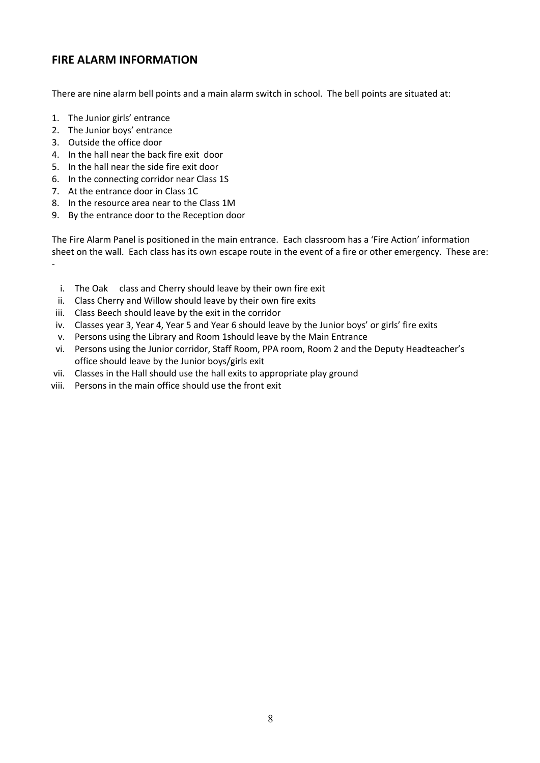## **FIRE ALARM INFORMATION**

There are nine alarm bell points and a main alarm switch in school. The bell points are situated at:

- 1. The Junior girls' entrance
- 2. The Junior boys' entrance
- 3. Outside the office door
- 4. In the hall near the back fire exit door
- 5. In the hall near the side fire exit door
- 6. In the connecting corridor near Class 1S
- 7. At the entrance door in Class 1C
- 8. In the resource area near to the Class 1M
- 9. By the entrance door to the Reception door

The Fire Alarm Panel is positioned in the main entrance. Each classroom has a 'Fire Action' information sheet on the wall. Each class has its own escape route in the event of a fire or other emergency. These are: -

- i. The Oak class and Cherry should leave by their own fire exit
- ii. Class Cherry and Willow should leave by their own fire exits
- iii. Class Beech should leave by the exit in the corridor
- iv. Classes year 3, Year 4, Year 5 and Year 6 should leave by the Junior boys' or girls' fire exits
- v. Persons using the Library and Room 1should leave by the Main Entrance
- vi. Persons using the Junior corridor, Staff Room, PPA room, Room 2 and the Deputy Headteacher's office should leave by the Junior boys/girls exit
- vii. Classes in the Hall should use the hall exits to appropriate play ground
- viii. Persons in the main office should use the front exit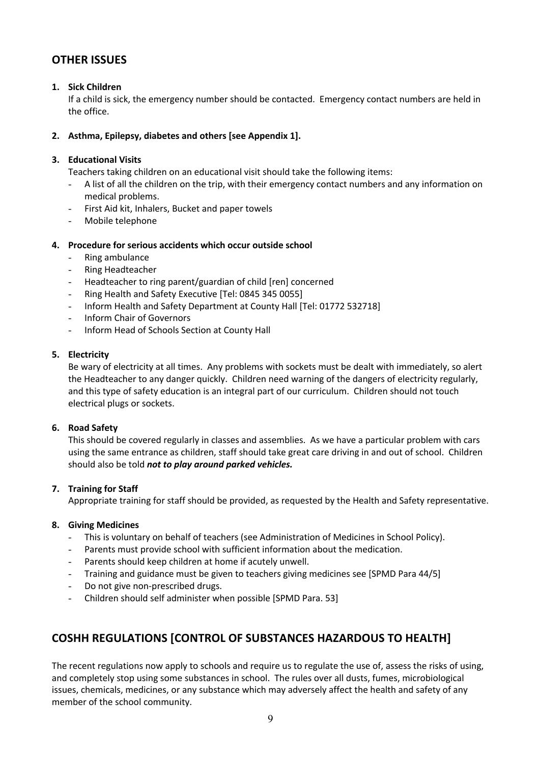## **OTHER ISSUES**

#### **1. Sick Children**

If a child is sick, the emergency number should be contacted. Emergency contact numbers are held in the office.

#### **2. Asthma, Epilepsy, diabetes and others [see Appendix 1].**

#### **3. Educational Visits**

Teachers taking children on an educational visit should take the following items:

- A list of all the children on the trip, with their emergency contact numbers and any information on medical problems.
- First Aid kit, Inhalers, Bucket and paper towels
- Mobile telephone

#### **4. Procedure for serious accidents which occur outside school**

- Ring ambulance
- Ring Headteacher
- Headteacher to ring parent/guardian of child [ren] concerned
- Ring Health and Safety Executive [Tel: 0845 345 0055]
- Inform Health and Safety Department at County Hall [Tel: 01772 532718]
- Inform Chair of Governors
- Inform Head of Schools Section at County Hall

#### **5. Electricity**

Be wary of electricity at all times. Any problems with sockets must be dealt with immediately, so alert the Headteacher to any danger quickly. Children need warning of the dangers of electricity regularly, and this type of safety education is an integral part of our curriculum. Children should not touch electrical plugs or sockets.

#### **6. Road Safety**

This should be covered regularly in classes and assemblies. As we have a particular problem with cars using the same entrance as children, staff should take great care driving in and out of school. Children should also be told *not to play around parked vehicles.*

#### **7. Training for Staff**

Appropriate training for staff should be provided, as requested by the Health and Safety representative.

#### **8. Giving Medicines**

- This is voluntary on behalf of teachers (see Administration of Medicines in School Policy).
- Parents must provide school with sufficient information about the medication.
- Parents should keep children at home if acutely unwell.
- Training and guidance must be given to teachers giving medicines see [SPMD Para 44/5]
- Do not give non-prescribed drugs.
- Children should self administer when possible [SPMD Para. 53]

## **COSHH REGULATIONS [CONTROL OF SUBSTANCES HAZARDOUS TO HEALTH]**

The recent regulations now apply to schools and require us to regulate the use of, assess the risks of using, and completely stop using some substances in school. The rules over all dusts, fumes, microbiological issues, chemicals, medicines, or any substance which may adversely affect the health and safety of any member of the school community.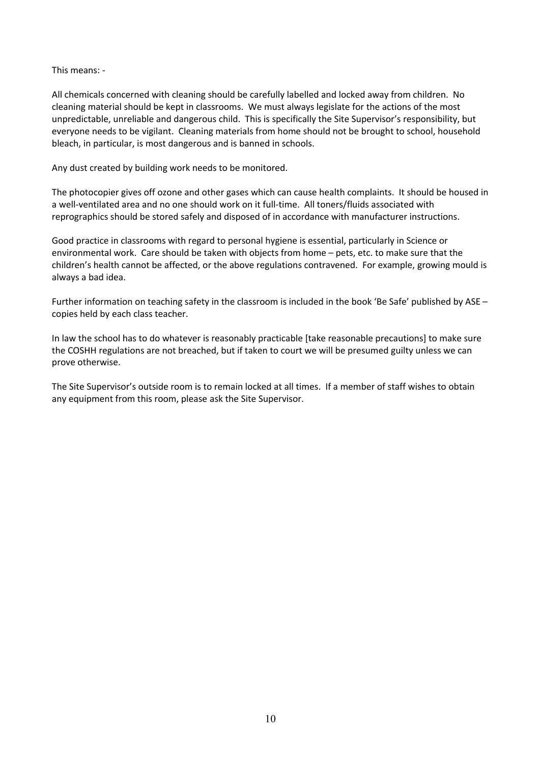This means: -

All chemicals concerned with cleaning should be carefully labelled and locked away from children. No cleaning material should be kept in classrooms. We must always legislate for the actions of the most unpredictable, unreliable and dangerous child. This is specifically the Site Supervisor's responsibility, but everyone needs to be vigilant. Cleaning materials from home should not be brought to school, household bleach, in particular, is most dangerous and is banned in schools.

Any dust created by building work needs to be monitored.

The photocopier gives off ozone and other gases which can cause health complaints. It should be housed in a well-ventilated area and no one should work on it full-time. All toners/fluids associated with reprographics should be stored safely and disposed of in accordance with manufacturer instructions.

Good practice in classrooms with regard to personal hygiene is essential, particularly in Science or environmental work. Care should be taken with objects from home – pets, etc. to make sure that the children's health cannot be affected, or the above regulations contravened. For example, growing mould is always a bad idea.

Further information on teaching safety in the classroom is included in the book 'Be Safe' published by ASE – copies held by each class teacher.

In law the school has to do whatever is reasonably practicable [take reasonable precautions] to make sure the COSHH regulations are not breached, but if taken to court we will be presumed guilty unless we can prove otherwise.

The Site Supervisor's outside room is to remain locked at all times. If a member of staff wishes to obtain any equipment from this room, please ask the Site Supervisor.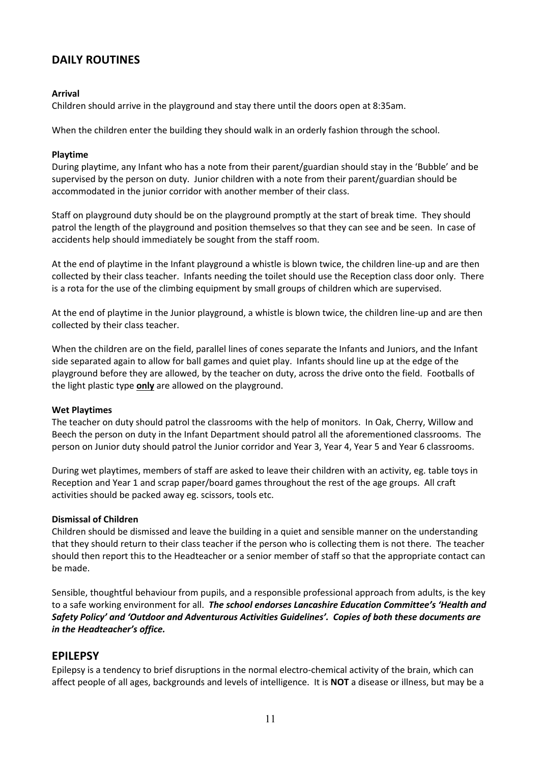## **DAILY ROUTINES**

#### **Arrival**

Children should arrive in the playground and stay there until the doors open at 8:35am.

When the children enter the building they should walk in an orderly fashion through the school.

#### **Playtime**

During playtime, any Infant who has a note from their parent/guardian should stay in the 'Bubble' and be supervised by the person on duty. Junior children with a note from their parent/guardian should be accommodated in the junior corridor with another member of their class.

Staff on playground duty should be on the playground promptly at the start of break time. They should patrol the length of the playground and position themselves so that they can see and be seen. In case of accidents help should immediately be sought from the staff room.

At the end of playtime in the Infant playground a whistle is blown twice, the children line-up and are then collected by their class teacher. Infants needing the toilet should use the Reception class door only. There is a rota for the use of the climbing equipment by small groups of children which are supervised.

At the end of playtime in the Junior playground, a whistle is blown twice, the children line-up and are then collected by their class teacher.

When the children are on the field, parallel lines of cones separate the Infants and Juniors, and the Infant side separated again to allow for ball games and quiet play. Infants should line up at the edge of the playground before they are allowed, by the teacher on duty, across the drive onto the field. Footballs of the light plastic type **only** are allowed on the playground.

#### **Wet Playtimes**

The teacher on duty should patrol the classrooms with the help of monitors. In Oak, Cherry, Willow and Beech the person on duty in the Infant Department should patrol all the aforementioned classrooms. The person on Junior duty should patrol the Junior corridor and Year 3, Year 4, Year 5 and Year 6 classrooms.

During wet playtimes, members of staff are asked to leave their children with an activity, eg. table toys in Reception and Year 1 and scrap paper/board games throughout the rest of the age groups. All craft activities should be packed away eg. scissors, tools etc.

#### **Dismissal of Children**

Children should be dismissed and leave the building in a quiet and sensible manner on the understanding that they should return to their class teacher if the person who is collecting them is not there. The teacher should then report this to the Headteacher or a senior member of staff so that the appropriate contact can be made.

Sensible, thoughtful behaviour from pupils, and a responsible professional approach from adults, is the key to a safe working environment for all. *The school endorses Lancashire Education Committee's 'Health and Safety Policy' and 'Outdoor and Adventurous Activities Guidelines'. Copies of both these documents are in the Headteacher's office.*

## **EPILEPSY**

Epilepsy is a tendency to brief disruptions in the normal electro-chemical activity of the brain, which can affect people of all ages, backgrounds and levels of intelligence. It is **NOT** a disease or illness, but may be a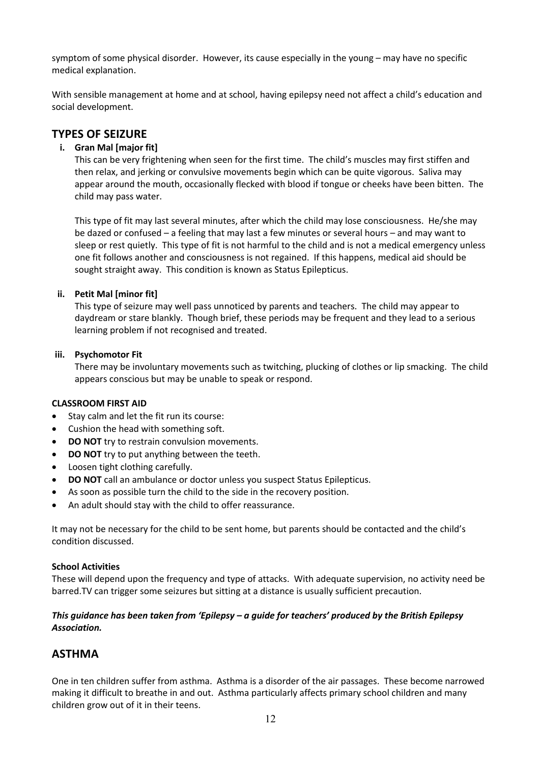symptom of some physical disorder. However, its cause especially in the young – may have no specific medical explanation.

With sensible management at home and at school, having epilepsy need not affect a child's education and social development.

## **TYPES OF SEIZURE**

#### **i. Gran Mal [major fit]**

This can be very frightening when seen for the first time. The child's muscles may first stiffen and then relax, and jerking or convulsive movements begin which can be quite vigorous. Saliva may appear around the mouth, occasionally flecked with blood if tongue or cheeks have been bitten. The child may pass water.

This type of fit may last several minutes, after which the child may lose consciousness. He/she may be dazed or confused – a feeling that may last a few minutes or several hours – and may want to sleep or rest quietly. This type of fit is not harmful to the child and is not a medical emergency unless one fit follows another and consciousness is not regained. If this happens, medical aid should be sought straight away. This condition is known as Status Epilepticus.

#### **ii. Petit Mal [minor fit]**

This type of seizure may well pass unnoticed by parents and teachers. The child may appear to daydream or stare blankly. Though brief, these periods may be frequent and they lead to a serious learning problem if not recognised and treated.

#### **iii. Psychomotor Fit**

There may be involuntary movements such as twitching, plucking of clothes or lip smacking. The child appears conscious but may be unable to speak or respond.

#### **CLASSROOM FIRST AID**

- Stay calm and let the fit run its course:
- Cushion the head with something soft.
- **DO NOT** try to restrain convulsion movements.
- **DO NOT** try to put anything between the teeth.
- Loosen tight clothing carefully.
- **DO NOT** call an ambulance or doctor unless you suspect Status Epilepticus.
- As soon as possible turn the child to the side in the recovery position.
- An adult should stay with the child to offer reassurance.

It may not be necessary for the child to be sent home, but parents should be contacted and the child's condition discussed.

#### **School Activities**

These will depend upon the frequency and type of attacks. With adequate supervision, no activity need be barred.TV can trigger some seizures but sitting at a distance is usually sufficient precaution.

#### *This guidance has been taken from 'Epilepsy – a guide for teachers' produced by the British Epilepsy Association.*

## **ASTHMA**

One in ten children suffer from asthma. Asthma is a disorder of the air passages. These become narrowed making it difficult to breathe in and out. Asthma particularly affects primary school children and many children grow out of it in their teens.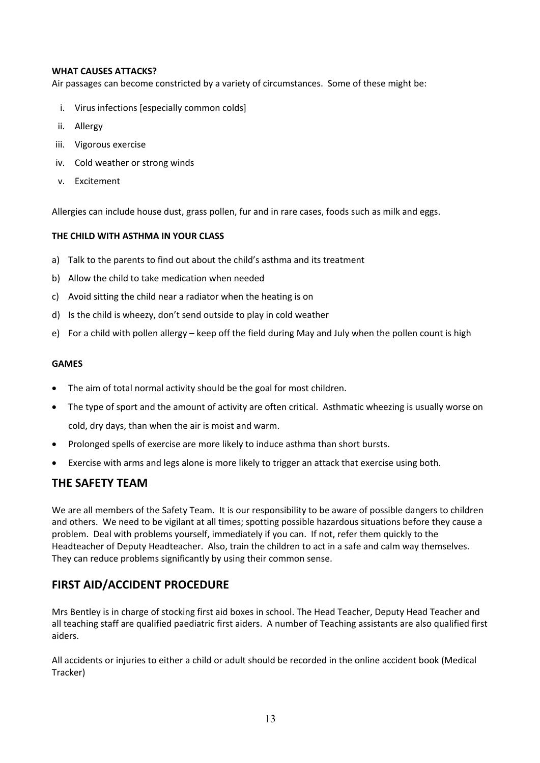#### **WHAT CAUSES ATTACKS?**

Air passages can become constricted by a variety of circumstances. Some of these might be:

- i. Virus infections [especially common colds]
- ii. Allergy
- iii. Vigorous exercise
- iv. Cold weather or strong winds
- v. Excitement

Allergies can include house dust, grass pollen, fur and in rare cases, foods such as milk and eggs.

#### **THE CHILD WITH ASTHMA IN YOUR CLASS**

- a) Talk to the parents to find out about the child's asthma and its treatment
- b) Allow the child to take medication when needed
- c) Avoid sitting the child near a radiator when the heating is on
- d) Is the child is wheezy, don't send outside to play in cold weather
- e) For a child with pollen allergy keep off the field during May and July when the pollen count is high

#### **GAMES**

- The aim of total normal activity should be the goal for most children.
- The type of sport and the amount of activity are often critical. Asthmatic wheezing is usually worse on cold, dry days, than when the air is moist and warm.
- Prolonged spells of exercise are more likely to induce asthma than short bursts.
- Exercise with arms and legs alone is more likely to trigger an attack that exercise using both.

## **THE SAFETY TEAM**

We are all members of the Safety Team. It is our responsibility to be aware of possible dangers to children and others. We need to be vigilant at all times; spotting possible hazardous situations before they cause a problem. Deal with problems yourself, immediately if you can. If not, refer them quickly to the Headteacher of Deputy Headteacher. Also, train the children to act in a safe and calm way themselves. They can reduce problems significantly by using their common sense.

## **FIRST AID/ACCIDENT PROCEDURE**

Mrs Bentley is in charge of stocking first aid boxes in school. The Head Teacher, Deputy Head Teacher and all teaching staff are qualified paediatric first aiders. A number of Teaching assistants are also qualified first aiders.

All accidents or injuries to either a child or adult should be recorded in the online accident book (Medical Tracker)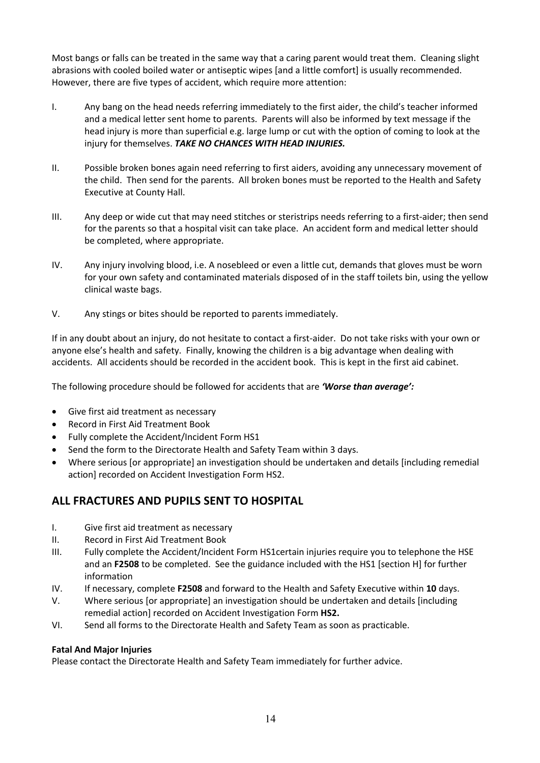Most bangs or falls can be treated in the same way that a caring parent would treat them. Cleaning slight abrasions with cooled boiled water or antiseptic wipes [and a little comfort] is usually recommended. However, there are five types of accident, which require more attention:

- I. Any bang on the head needs referring immediately to the first aider, the child's teacher informed and a medical letter sent home to parents. Parents will also be informed by text message if the head injury is more than superficial e.g. large lump or cut with the option of coming to look at the injury for themselves. *TAKE NO CHANCES WITH HEAD INJURIES.*
- II. Possible broken bones again need referring to first aiders, avoiding any unnecessary movement of the child. Then send for the parents. All broken bones must be reported to the Health and Safety Executive at County Hall.
- III. Any deep or wide cut that may need stitches or steristrips needs referring to a first-aider; then send for the parents so that a hospital visit can take place. An accident form and medical letter should be completed, where appropriate.
- IV. Any injury involving blood, i.e. A nosebleed or even a little cut, demands that gloves must be worn for your own safety and contaminated materials disposed of in the staff toilets bin, using the yellow clinical waste bags.
- V. Any stings or bites should be reported to parents immediately.

If in any doubt about an injury, do not hesitate to contact a first-aider. Do not take risks with your own or anyone else's health and safety. Finally, knowing the children is a big advantage when dealing with accidents. All accidents should be recorded in the accident book. This is kept in the first aid cabinet.

The following procedure should be followed for accidents that are *'Worse than average':*

- Give first aid treatment as necessary
- Record in First Aid Treatment Book
- Fully complete the Accident/Incident Form HS1
- Send the form to the Directorate Health and Safety Team within 3 days.
- Where serious [or appropriate] an investigation should be undertaken and details [including remedial action] recorded on Accident Investigation Form HS2.

## **ALL FRACTURES AND PUPILS SENT TO HOSPITAL**

- I. Give first aid treatment as necessary
- II. Record in First Aid Treatment Book
- III. Fully complete the Accident/Incident Form HS1certain injuries require you to telephone the HSE and an **F2508** to be completed. See the guidance included with the HS1 [section H] for further information
- IV. If necessary, complete **F2508** and forward to the Health and Safety Executive within **10** days.
- V. Where serious [or appropriate] an investigation should be undertaken and details [including remedial action] recorded on Accident Investigation Form **HS2.**
- VI. Send all forms to the Directorate Health and Safety Team as soon as practicable.

#### **Fatal And Major Injuries**

Please contact the Directorate Health and Safety Team immediately for further advice.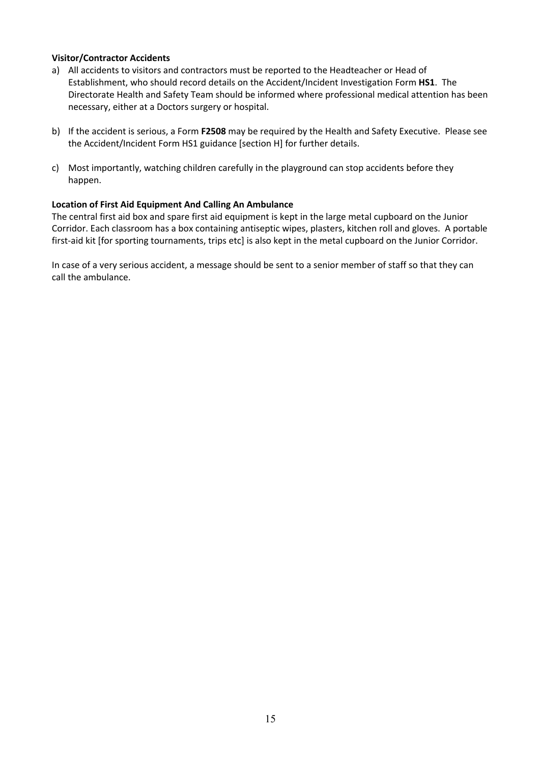#### **Visitor/Contractor Accidents**

- a) All accidents to visitors and contractors must be reported to the Headteacher or Head of Establishment, who should record details on the Accident/Incident Investigation Form **HS1**. The Directorate Health and Safety Team should be informed where professional medical attention has been necessary, either at a Doctors surgery or hospital.
- b) If the accident is serious, a Form **F2508** may be required by the Health and Safety Executive. Please see the Accident/Incident Form HS1 guidance [section H] for further details.
- c) Most importantly, watching children carefully in the playground can stop accidents before they happen.

#### **Location of First Aid Equipment And Calling An Ambulance**

The central first aid box and spare first aid equipment is kept in the large metal cupboard on the Junior Corridor. Each classroom has a box containing antiseptic wipes, plasters, kitchen roll and gloves. A portable first-aid kit [for sporting tournaments, trips etc] is also kept in the metal cupboard on the Junior Corridor.

In case of a very serious accident, a message should be sent to a senior member of staff so that they can call the ambulance.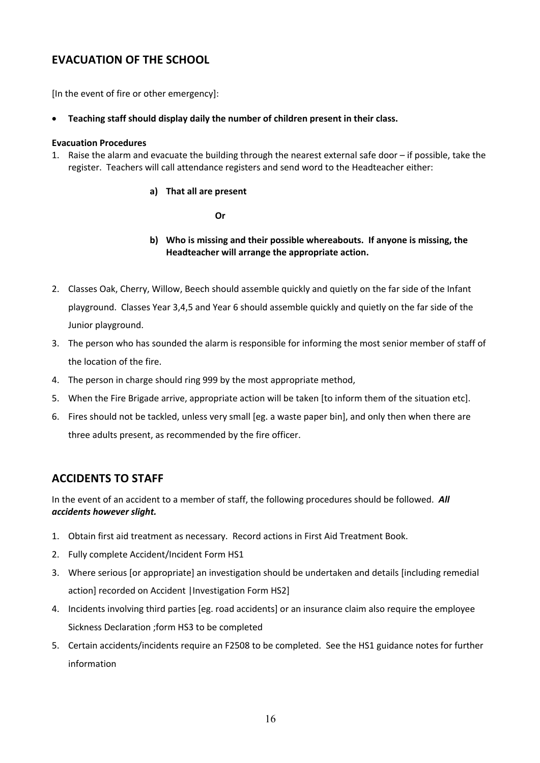## **EVACUATION OF THE SCHOOL**

[In the event of fire or other emergency]:

• **Teaching staff should display daily the number of children present in their class.**

#### **Evacuation Procedures**

1. Raise the alarm and evacuate the building through the nearest external safe door – if possible, take the register. Teachers will call attendance registers and send word to the Headteacher either:

#### **a) That all are present**

**Or**

#### **b) Who is missing and their possible whereabouts. If anyone is missing, the Headteacher will arrange the appropriate action.**

- 2. Classes Oak, Cherry, Willow, Beech should assemble quickly and quietly on the far side of the Infant playground. Classes Year 3,4,5 and Year 6 should assemble quickly and quietly on the far side of the Junior playground.
- 3. The person who has sounded the alarm is responsible for informing the most senior member of staff of the location of the fire.
- 4. The person in charge should ring 999 by the most appropriate method,
- 5. When the Fire Brigade arrive, appropriate action will be taken [to inform them of the situation etc].
- 6. Fires should not be tackled, unless very small [eg. a waste paper bin], and only then when there are three adults present, as recommended by the fire officer.

## **ACCIDENTS TO STAFF**

In the event of an accident to a member of staff, the following procedures should be followed. *All accidents however slight.*

- 1. Obtain first aid treatment as necessary. Record actions in First Aid Treatment Book.
- 2. Fully complete Accident/Incident Form HS1
- 3. Where serious [or appropriate] an investigation should be undertaken and details [including remedial action] recorded on Accident | Investigation Form HS2]
- 4. Incidents involving third parties [eg. road accidents] or an insurance claim also require the employee Sickness Declaration ;form HS3 to be completed
- 5. Certain accidents/incidents require an F2508 to be completed. See the HS1 guidance notes for further information